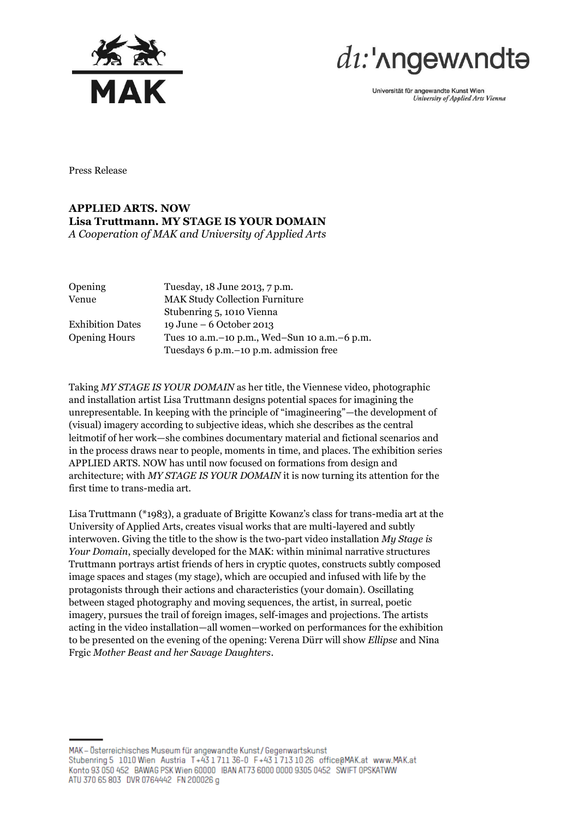



Universität für angewandte Kunst Wien University of Applied Arts Vienna

Press Release

## **APPLIED ARTS. NOW Lisa Truttmann. MY STAGE IS YOUR DOMAIN** *A Cooperation of MAK and University of Applied Arts*

| Opening                 | Tuesday, 18 June 2013, 7 p.m.                  |
|-------------------------|------------------------------------------------|
| Venue                   | <b>MAK Study Collection Furniture</b>          |
|                         | Stubenring 5, 1010 Vienna                      |
| <b>Exhibition Dates</b> | 19 June – 6 October 2013                       |
| <b>Opening Hours</b>    | Tues 10 a.m. -10 p.m., Wed-Sun 10 a.m. -6 p.m. |
|                         | Tuesdays 6 p.m. – 10 p.m. admission free       |

Taking *MY STAGE IS YOUR DOMAIN* as her title, the Viennese video, photographic and installation artist Lisa Truttmann designs potential spaces for imagining the unrepresentable. In keeping with the principle of "imagineering"—the development of (visual) imagery according to subjective ideas, which she describes as the central leitmotif of her work—she combines documentary material and fictional scenarios and in the process draws near to people, moments in time, and places. The exhibition series APPLIED ARTS. NOW has until now focused on formations from design and architecture; with *MY STAGE IS YOUR DOMAIN* it is now turning its attention for the first time to trans-media art.

Lisa Truttmann (\*1983), a graduate of Brigitte Kowanz's class for trans-media art at the University of Applied Arts, creates visual works that are multi-layered and subtly interwoven. Giving the title to the show is the two-part video installation *My Stage is Your Domain*, specially developed for the MAK: within minimal narrative structures Truttmann portrays artist friends of hers in cryptic quotes, constructs subtly composed image spaces and stages (my stage), which are occupied and infused with life by the protagonists through their actions and characteristics (your domain). Oscillating between staged photography and moving sequences, the artist, in surreal, poetic imagery, pursues the trail of foreign images, self-images and projections. The artists acting in the video installation—all women—worked on performances for the exhibition to be presented on the evening of the opening: Verena Dürr will show *Ellipse* and Nina Frgic *Mother Beast and her Savage Daughters*.

MAK - Österreichisches Museum für angewandte Kunst / Gegenwartskunst Stubenring 5 1010 Wien Austria T+43 1711 36-0 F+43 1713 10 26 office@MAK.at www.MAK.at Konto 93 050 452 BAWAG PSK Wien 60000 IBAN AT73 6000 0000 9305 0452 SWIFT OPSKATWW ATU 370 65 803 DVR 0764442 FN 200026 g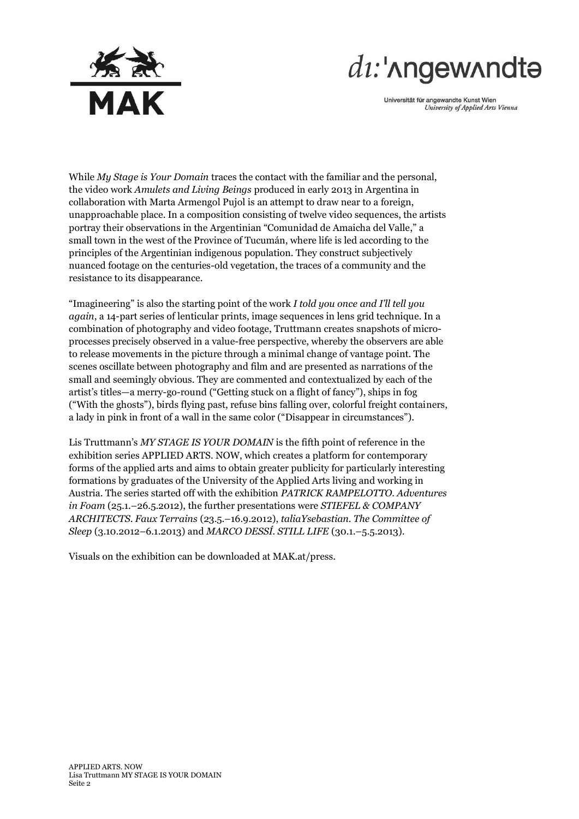

## $di:$ ' $\Lambda$ ngew $\Lambda$ ndt $\Theta$

Universität für angewandte Kunst Wien University of Applied Arts Vienna

While *My Stage is Your Domain* traces the contact with the familiar and the personal, the video work *Amulets and Living Beings* produced in early 2013 in Argentina in collaboration with Marta Armengol Pujol is an attempt to draw near to a foreign, unapproachable place. In a composition consisting of twelve video sequences, the artists portray their observations in the Argentinian "Comunidad de Amaicha del Valle," a small town in the west of the Province of Tucumán, where life is led according to the principles of the Argentinian indigenous population. They construct subjectively nuanced footage on the centuries-old vegetation, the traces of a community and the resistance to its disappearance.

"Imagineering" is also the starting point of the work *I told you once and I'll tell you again*, a 14-part series of lenticular prints, image sequences in lens grid technique. In a combination of photography and video footage, Truttmann creates snapshots of microprocesses precisely observed in a value-free perspective, whereby the observers are able to release movements in the picture through a minimal change of vantage point. The scenes oscillate between photography and film and are presented as narrations of the small and seemingly obvious. They are commented and contextualized by each of the artist's titles—a merry-go-round ("Getting stuck on a flight of fancy"), ships in fog ("With the ghosts"), birds flying past, refuse bins falling over, colorful freight containers, a lady in pink in front of a wall in the same color ("Disappear in circumstances").

Lis Truttmann's *MY STAGE IS YOUR DOMAIN* is the fifth point of reference in the exhibition series APPLIED ARTS. NOW, which creates a platform for contemporary forms of the applied arts and aims to obtain greater publicity for particularly interesting formations by graduates of the University of the Applied Arts living and working in Austria. The series started off with the exhibition *PATRICK RAMPELOTTO. Adventures in Foam* (25.1.–26.5.2012), the further presentations were *STIEFEL & COMPANY ARCHITECTS. Faux Terrains* (23.5.–16.9.2012), *taliaYsebastian. The Committee of Sleep* (3.10.2012–6.1.2013) and *MARCO DESSÍ. STILL LIFE* (30.1.–5.5.2013).

Visuals on the exhibition can be downloaded at MAK.at/press.